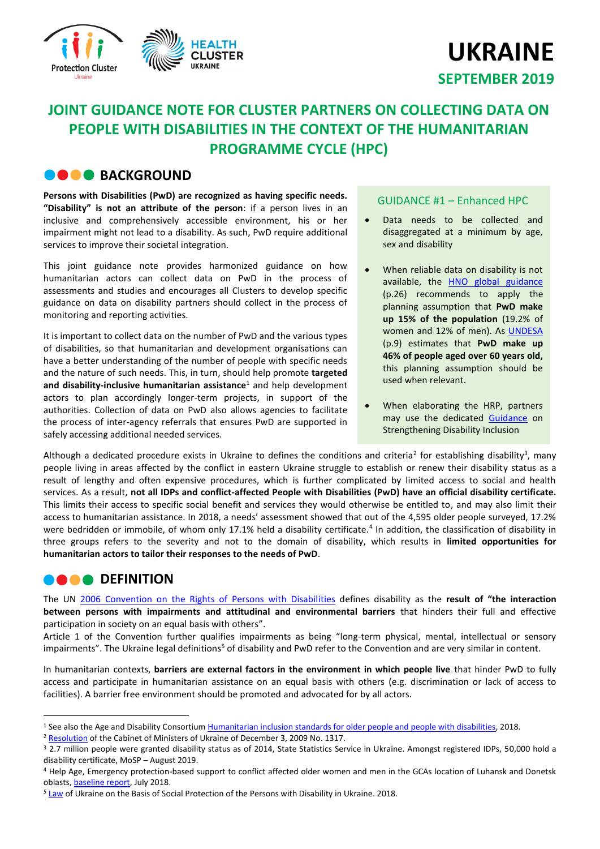

# **UKRAINE SEPTEMBER 2019**

# **JOINT GUIDANCE NOTE FOR CLUSTER PARTNERS ON COLLECTING DATA ON PEOPLE WITH DISABILITIES IN THE CONTEXT OF THE HUMANITARIAN PROGRAMME CYCLE (HPC)**

# **BACKGROUND**

**Persons with Disabilities (PwD) are recognized as having specific needs. "Disability" is not an attribute of the person**: if a person lives in an inclusive and comprehensively accessible environment, his or her impairment might not lead to a disability. As such, PwD require additional services to improve their societal integration.

This joint guidance note provides harmonized guidance on how humanitarian actors can collect data on PwD in the process of assessments and studies and encourages all Clusters to develop specific guidance on data on disability partners should collect in the process of monitoring and reporting activities.

It is important to collect data on the number of PwD and the various types of disabilities, so that humanitarian and development organisations can have a better understanding of the number of people with specific needs and the nature of such needs. This, in turn, should help promote **targeted and disability-inclusive humanitarian assistance**<sup>1</sup> and help development actors to plan accordingly longer-term projects, in support of the authorities. Collection of data on PwD also allows agencies to facilitate the process of inter-agency referrals that ensures PwD are supported in safely accessing additional needed services.

#### GUIDANCE #1 – Enhanced HPC

- Data needs to be collected and disaggregated at a minimum by age, sex and disability
- When reliable data on disability is not available, the HNO [global guidance](https://www.humanitarianresponse.info/sites/www.humanitarianresponse.info/files/documents/files/3._hno_2020-annotations_v12rev2.pdf) (p.26) recommends to apply the planning assumption that **PwD make up 15% of the population** (19.2% of women and 12% of men). As [UNDESA](https://reliefweb.int/sites/reliefweb.int/files/resources/Humanitarian_inclusion_standards_for_older_people_and_people_with_disabi....pdf) (p.9) estimates that **PwD make up 46% of people aged over 60 years old,** this planning assumption should be used when relevant.
- When elaborating the HRP, partners may use the dedicated [Guidance](http://www.globalprotectioncluster.org/wp-content/uploads/Guidance-on-Strengthening-Disability-Inclusion-in-Humanitarian-Response-Plans.pdf) on Strengthening Disability Inclusion

Although a dedicated procedure exists in Ukraine to defines the conditions and criteria<sup>2</sup> for establishing disability<sup>3</sup>, many people living in areas affected by the conflict in eastern Ukraine struggle to establish or renew their disability status as a result of lengthy and often expensive procedures, which is further complicated by limited access to social and health services. As a result, **not all IDPs and conflict-affected People with Disabilities (PwD) have an official disability certificate.**  This limits their access to specific social benefit and services they would otherwise be entitled to, and may also limit their access to humanitarian assistance. In 2018, a needs' assessment showed that out of the 4,595 older people surveyed, 17.2% were bedridden or immobile, of whom only 17.1% held a disability certificate.<sup>4</sup> In addition, the classification of disability in three groups refers to the severity and not to the domain of disability, which results in **limited opportunities for humanitarian actors to tailor their responses to the needs of PwD**.

## **DEFINITION**

 $\overline{\phantom{a}}$ 

The UN [2006 Convention on the Rights of Persons with Disabilities](https://www.un.org/development/desa/disabilities/convention-on-the-rights-of-persons-with-disabilities.html) defines disability as the **result of "the interaction between persons with impairments and attitudinal and environmental barriers** that hinders their full and effective participation in society on an equal basis with others".

Article 1 of the Convention further qualifies impairments as being "long-term physical, mental, intellectual or sensory impairments". The Ukraine legal definitions<sup>5</sup> of disability and PwD refer to the Convention and are very similar in content.

In humanitarian contexts, **barriers are external factors in the environment in which people live** that hinder PwD to fully access and participate in humanitarian assistance on an equal basis with others (e.g. discrimination or lack of access to facilities). A barrier free environment should be promoted and advocated for by all actors.

<sup>1</sup> See also the Age and Disability Consortiu[m Humanitarian inclusion standards for older people and people with disabilities,](https://reliefweb.int/sites/reliefweb.int/files/resources/Humanitarian_inclusion_standards_for_older_people_and_people_with_disabi....pdf) 2018.

<sup>&</sup>lt;sup>2</sup> [Resolution](https://zakon.rada.gov.ua/laws/show/en/1317-2009-%D0%BF#n12) of the Cabinet of Ministers of Ukraine of December 3, 2009 No. 1317.

<sup>&</sup>lt;sup>3</sup> 2.7 million people were granted disability status as of 2014, State Statistics Service in Ukraine. Amongst registered IDPs, 50,000 hold a disability certificate, MoSP – August 2019.

<sup>4</sup> Help Age, Emergency protection-based support to conflict affected older women and men in the GCAs location of Luhansk and Donetsk oblasts, **baseline report**, July 2018.

*<sup>5</sup>* [Law](https://zakon.rada.gov.ua/laws/show/875-12?lang=en.) of Ukraine on the Basis of Social Protection of the Persons with Disability in Ukraine. 2018.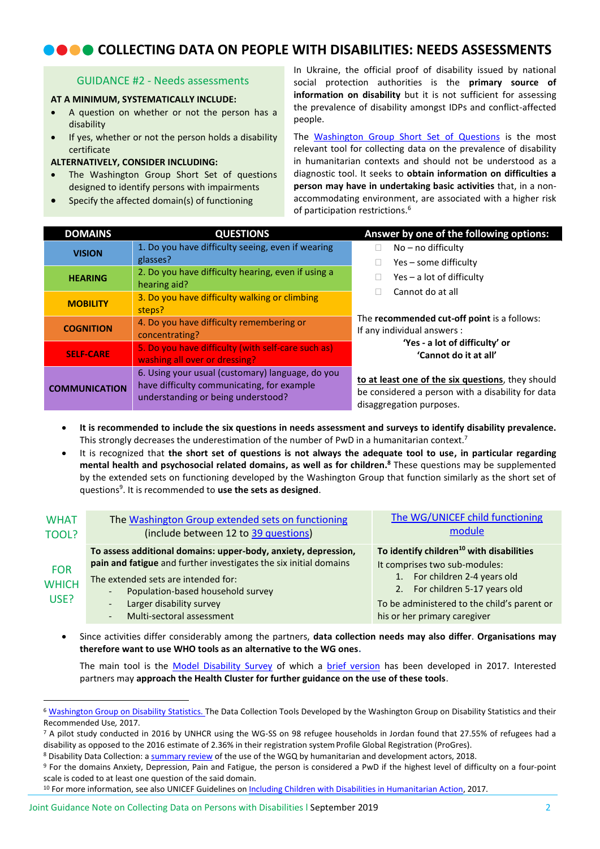# **COLLECTING DATA ON PEOPLE WITH DISABILITIES: NEEDS ASSESSMENTS**

#### GUIDANCE #2 - Needs assessments

#### **AT A MINIMUM, SYSTEMATICALLY INCLUDE:**

- A question on whether or not the person has a disability
- If yes, whether or not the person holds a disability certificate

#### **ALTERNATIVELY, CONSIDER INCLUDING:**

- The Washington Group Short Set of questions designed to identify persons with impairments
- Specify the affected domain(s) of functioning

In Ukraine, the official proof of disability issued by national social protection authorities is the **primary source of information on disability** but it is not sufficient for assessing the prevalence of disability amongst IDPs and conflict-affected people.

The [Washington Group Short Set of Questions](http://www.washingtongroup-disability.com/washington-group-question-sets/short-set-of-disability-questions/) is the most relevant tool for collecting data on the prevalence of disability in humanitarian contexts and should not be understood as a diagnostic tool. It seeks to **obtain information on difficulties a person may have in undertaking basic activities** that, in a nonaccommodating environment, are associated with a higher risk of participation restrictions. 6

| <b>DOMAINS</b>       | <b>QUESTIONS</b>                                                                                                                     | Answer by one of the following options:                                                                                            |
|----------------------|--------------------------------------------------------------------------------------------------------------------------------------|------------------------------------------------------------------------------------------------------------------------------------|
| <b>VISION</b>        | 1. Do you have difficulty seeing, even if wearing<br>glasses?                                                                        | No - no difficulty<br>Yes – some difficulty                                                                                        |
| <b>HEARING</b>       | 2. Do you have difficulty hearing, even if using a<br>hearing aid?                                                                   | $Yes - a lot of difficulty$                                                                                                        |
| <b>MOBILITY</b>      | 3. Do you have difficulty walking or climbing<br>steps?                                                                              | Cannot do at all                                                                                                                   |
| <b>COGNITION</b>     | 4. Do you have difficulty remembering or<br>concentrating?                                                                           | The recommended cut-off point is a follows:<br>If any individual answers :                                                         |
| <b>SELF-CARE</b>     | 5. Do you have difficulty (with self-care such as)<br>washing all over or dressing?                                                  | 'Yes - a lot of difficulty' or<br>'Cannot do it at all'                                                                            |
| <b>COMMUNICATION</b> | 6. Using your usual (customary) language, do you<br>have difficulty communicating, for example<br>understanding or being understood? | to at least one of the six questions, they should<br>be considered a person with a disability for data<br>disaggregation purposes. |

- **It is recommended to include the six questions in needs assessment and surveys to identify disability prevalence.**  This strongly decreases the underestimation of the number of PwD in a humanitarian context.<sup>7</sup>
- It is recognized that **the short set of questions is not always the adequate tool to use, in particular regarding mental health and psychosocial related domains, as well as for children. <sup>8</sup>** These questions may be supplemented by the extended sets on functioning developed by the Washington Group that function similarly as the short set of questions<sup>9</sup> . It is recommended to **use the sets as designed**.

| <b>WHAT</b><br>TOOL?               | The Washington Group extended sets on functioning<br>(include between 12 to 39 questions)                                                                                                                                                                                                           | The WG/UNICEF child functioning<br>module                                                                                                                                                               |
|------------------------------------|-----------------------------------------------------------------------------------------------------------------------------------------------------------------------------------------------------------------------------------------------------------------------------------------------------|---------------------------------------------------------------------------------------------------------------------------------------------------------------------------------------------------------|
| <b>FOR</b><br><b>WHICH</b><br>USE? | To assess additional domains: upper-body, anxiety, depression,<br>pain and fatigue and further investigates the six initial domains<br>The extended sets are intended for:<br>Population-based household survey<br>$\overline{\phantom{0}}$<br>Larger disability survey<br>$\overline{\phantom{a}}$ | To identify children <sup>10</sup> with disabilities<br>It comprises two sub-modules:<br>1. For children 2-4 years old<br>2. For children 5-17 years old<br>To be administered to the child's parent or |
|                                    | Multi-sectoral assessment<br>$\overline{\phantom{0}}$                                                                                                                                                                                                                                               | his or her primary caregiver                                                                                                                                                                            |

 Since activities differ considerably among the partners, **data collection needs may also differ**. **Organisations may therefore want to use WHO tools as an alternative to the WG ones.**

The main tool is the [Model Disability Survey](https://www.who.int/disabilities/data/model-disability-survey4.pdf?ua=1) of which a [brief version](https://www.who.int/disabilities/data/Implementation-guide-Brief-MDS.pdf?ua=1) has been developed in 2017. Interested partners may **approach the Health Cluster for further guidance on the use of these tools**.

 $\overline{a}$ 

<sup>&</sup>lt;sup>6</sup> [Washington Group on Disability Statistics.](http://www.washingtongroup-disability.com/wp-content/uploads/2016/12/WG-Document-1-Data-Collection-Tools-Developed-by-the-Washington-Group.pdf) The Data Collection Tools Developed by the Washington Group on Disability Statistics and their Recommended Use*,* 2017.

<sup>&</sup>lt;sup>7</sup> A pilot study conducted in 2016 by UNHCR using the WG-SS on 98 refugee households in Jordan found that 27.55% of refugees had a disability as opposed to the 2016 estimate of 2.36% in their registration system Profile Global Registration (ProGres).

<sup>8</sup> Disability Data Collection: [a summary review](https://reliefweb.int/sites/reliefweb.int/files/resources/Disability%20Data%20Collection%20DIGI.PDF) of the use of the WGQ by humanitarian and development actors, 2018.

<sup>9</sup> For the domains Anxiety, Depression, Pain and Fatigue, the person is considered a PwD if the highest level of difficulty on a four-point scale is coded to at least one question of the said domain.

<sup>&</sup>lt;sup>10</sup> For more information, see also UNICEF Guidelines on [Including Children with Disabilities in Humanitarian Action,](http://training.unicef.org/disability/emergencies/downloads/UNICEF_General_Guidance_English.pdf) 2017.